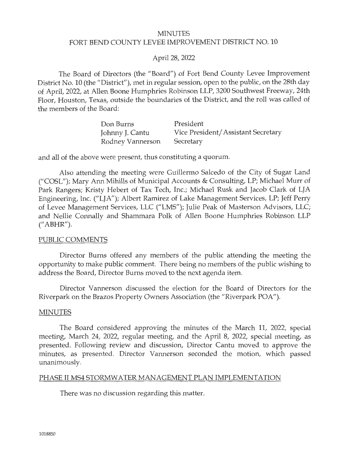### MINUTES FORT BEND COUNTY LEVEE IMPROVEMENT DISTRICT NO. 10

### April 28, 2022

The Board of Directors (the "Board") of Fort Bend County Levee Improvement District No. 10 (the "District"), met in regular session, open to the public, on the 28th day of April, 2022, at Allen Boone Humphries Robinson LLP, 3200 Southwest Freeway, 24th Floor, Houston, Texas, outside the boundaries of the District, and the roll was called of the members of the Board:

| Don Burns        | President                          |
|------------------|------------------------------------|
| Johnny J. Cantu  | Vice President/Assistant Secretary |
| Rodney Vannerson | Secretary                          |

and all of the above were present, thus constituting a quorum.

Also attending the meeting were Guillermo Salcedo of the City of Sugar Land ("COSL"); Mary Ann Mihills of Municipal Accounts & Consulting, LP; Michael Murr of Park Rangers; Kristy Hebert of Tax Tech, Inc.; Michael Rusk and Jacob Clark of LJA Engineering, Inc. ("LJA"); Albert Ramirez of Lake Management Services, LP; Jeff Perry of Levee Management Services, LLC ("LMS"); Julie Peak of Masterson Advisors, LLC; and Nellie Connally and Shammara Polk of Allen Boone Humphries Robinson LLP (" ABHR").

#### PUBLIC COMMENTS

Director Burns offered any members of the public attending the meeting the opportunity to make public comment. There being no members of the public wishing to address the Board, Director Burns moved to the next agenda item.

Director Vannerson discussed the election for the Board of Directors for the Riverpark on the Brazos Property Owners Association (the "Riverpark POA").

#### MINUTES

The Board considered approving the minutes of the March 11, 2022, special meeting, March 24, 2022, regular meeting, and the April 8, 2022, special meeting, as presented. Following review and discussion, Director Cantu moved to approve the minutes, as presented. Director Vannerson seconded the motion, which passed unanimously.

#### PHASE II MS4 STORMWATER MANAGEMENT PLAN IMPLEMENTATION

There was no discussion regarding this matter.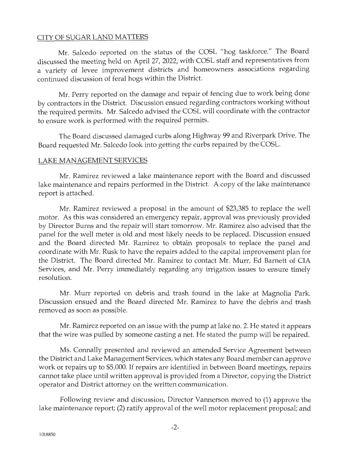### CITY OF SUGAR LAND MATTERS

Mr. Salcedo reported on the status of the COSL "hog taskforce." The Board discussed the meeting held on April 27, 2022, with COSL staff and representatives from a variety of levee improvement districts and homeowners associations regarding continued discussion of feral hogs within the District.

Mr. Perry reported on the damage and repair of fencing due to work being done by contractors in the District. Discussion ensued regarding contractors working without the required permits. Mr. Salcedo advised the COSL will coordinate with the contractor to ensure work is performed with the required permits.

The Board discussed damaged curbs along Highway 99 and Riverpark Drive. The Board requested Mr. Salcedo look into getting the curbs repaired by the COSL.

### LAKE MANAGEMENT SERVICES

Mr. Ramirez reviewed a lake maintenance report with the Board and discussed lake maintenance and repairs performed in the District. A copy of the lake maintenance report is attached.

Mr. Ramirez reviewed a proposal in the amount of \$23,385 to replace the well motor. As this was considered an emergency repair, approval was previously provided by Director Burns and the repair will start tomorrow. Mr. Ramirez also advised that the panel for the well meter is old and most likely needs to be replaced. Discussion ensued and the Board directed Mr. Ramirez to obtain proposals to replace the panel and coordinate with Mr. Rusk to have the repairs added to the capital improvement plan for the District. The Board directed Mr. Ramirez to contact Mr. Murr, Ed Barnett of CIA Services, and Mr. Perry immediately regarding any irrigation issues to ensure timely resolution.

Mr. Murr reported on debris and trash found in the lake at Magnolia Park. Discussion ensued and the Board directed Mr. Ramirez to have the debris and trash removed as soon as possible.

Mr. Ramirez reported on an issue with the pump at lake no. 2. He stated it appears that the wire was pulled by someone casting a net. He stated the pump will be repaired.

Ms. Connally presented and reviewed an amended Service Agreement between the District and Lake Management Services, which states any Board member can approve work or repairs up to \$5,000. If repairs are identified in between Board meetings, repairs cannot take place until written approval is provided from a Director, copying the District operator and District attorney on the written communication.

Following review and discussion, Director Vannerson moved to (1) approve the lake maintenance report; (2) ratify approval of the well motor replacement proposal; and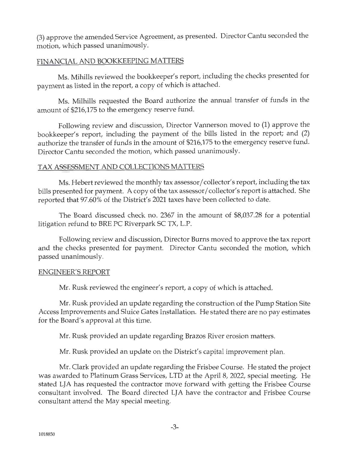(3) approve the amended Service Agreement, as presented. Director Cantu seconded the motion, which passed unanimously.

# FINANCIAL AND BOOKKEEPING MATTERS

Ms. Mihills reviewed the bookkeeper's report, including the checks presented for payment as listed in the report, a copy of which is attached.

Ms. Milhills requested the Board authorize the annual transfer of funds in the amount of \$216,175 to the emergency reserve fund.

Following review and discussion, Director Vannerson moved to (1) approve the bookkeeper's report, including the payment of the bills listed in the report; and (2) authorize the transfer of funds in the amount of \$216,175 to the emergency reserve fund. Director Cantu seconded the motion, which passed unanimously.

# TAX ASSESSMENT AND COLLECTIONS MATTERS

Ms. Hebert reviewed the monthly tax assessor/ collector's report, including the tax bills presented for payment. A copy of the tax assessor/ collector's report is attached. She reported that 97.60% of the District's 2021 taxes have been collected to date.

The Board discussed check no. 2367 in the amount of \$8,037.28 for a potential litigation refund to BRE PC Riverpark SC TX, L.P.

Following review and discussion, Director Burns moved to approve the tax report and the checks presented for payment. Director Cantu seconded the motion, which passed unanimously.

#### ENGINEER'S REPORT

Mr. Rusk reviewed the engineer's report, a copy of which is attached.

Mr. Rusk provided an update regarding the construction of the Pump Station Site Access Improvements and Sluice Gates Installation. He stated there are no pay estimates for the Board's approval at this time.

Mr. Rusk provided an update regarding Brazos River erosion matters.

Mr. Rusk provided an update on the District's capital improvement plan.

Mr. Clark provided an update regarding the Frisbee Course. He stated the project was awarded to Platinum Grass Services, LTD at the April 8, 2022, special meeting. He stated LJA has requested the contractor move forward with getting the Frisbee Course consultant involved. The Board directed LJA have the contractor and Frisbee Course consultant attend the May special meeting.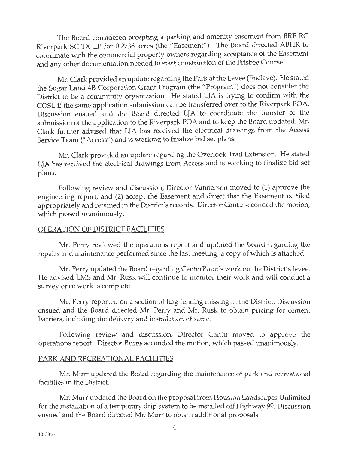The Board considered accepting a parking and amenity easement from BRE RC Riverpark SC TX LP for 0.2736 acres (the "Easement"). The Board directed ABHR to coordinate with the commercial property owners regarding acceptance of the Easement and any other documentation needed to start construction of the Frisbee Course.

Mr. Clark provided an update regarding the Park at the Levee (Enclave). He stated the Sugar Land 4B Corporation Grant Program (the "Program") does not consider the District to be a community organization. He stated LJA is trying to confirm with the COSL if the same application submission can be transferred over to the Riverpark POA. Discussion ensued and the Board directed LJA to coordinate the transfer of the submission of the application to the Riverpark POA and to keep the Board updated. Mr. Clark further advised that LJA has received the electrical drawings from the Access Service Team(" Access") and is working to finalize bid set plans.

Mr. Clark provided an update regarding the Overlook Trail Extension. He stated LJA has received the electrical drawings from Access and is working to finalize bid set plans.

Following review and discussion, Director Vannerson moved to (1) approve the engineering report; and (2) accept the Easement and direct that the Easement be filed appropriately and retained in the District's records. Director Cantu seconded the motion, which passed unanimously.

# OPERATION OF DISTRICT FACILITIES

Mr. Perry reviewed the operations report and updated the Board regarding the repairs and maintenance performed since the last meeting, a copy of which is attached.

Mr. Perry updated the Board regarding CenterPoint's work on the District's levee. He advised LMS and Mr. Rusk will continue to monitor their work and will conduct a survey once work is complete.

Mr. Perry reported on a section of hog fencing missing in the District. Discussion ensued and the Board directed Mr. Perry and Mr. Rusk to obtain pricing for cement barriers, including the delivery and installation of same.

Following review and discussion, Director Cantu moved to approve the operations report. Director Burns seconded the motion, which passed unanimously.

#### PARK AND RECREATIONAL FACILITIES

Mr. Murr updated the Board regarding the maintenance of park and recreational facilities in the District.

Mr. Murr updated the Board on the proposal from Houston Landscapes Unlimited for the installation of a temporary drip system to be installed off Highway 99. Discussion ensued and the Board directed Mr. Murr to obtain additional proposals.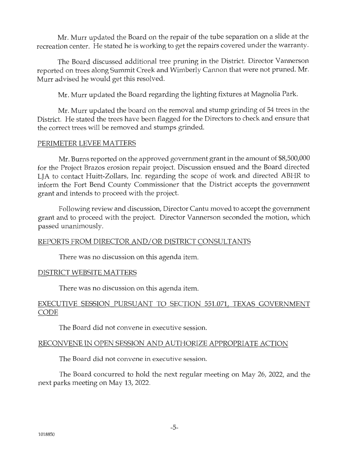Mr. Murr updated the Board on the repair of the tube separation on a slide at the recreation center. He stated he is working to get the repairs covered under the warranty.

The Board discussed additional tree pruning in the District. Director Vannerson reported on trees along Summit Creek and Wimberly Cannon that were not pruned. Mr. Murr advised he would get this resolved.

Mr. Murr updated the Board regarding the lighting fixtures at Magnolia Park.

Mr. Murr updated the board on the removal and stump grinding of 54 trees in the District. He stated the trees have been flagged for the Directors to check and ensure that the correct trees will be removed and stumps grinded.

### PERIMETER LEVEE MATTERS

Mr. Burns reported on the approved government grant in the amount of \$8,500,000 for the Project Brazos erosion repair project. Discussion ensued and the Board directed LJA to contact Huitt-Zollars, Inc. regarding the scope of work and directed ABHR to inform the Fort Bend County Commissioner that the District accepts the government grant and intends to proceed with the project.

Following review and discussion, Director Cantu moved to accept the government grant and to proceed with the project. Director Vannerson seconded the motion, which passed unanimously.

# REPORTS FROM DIRECTOR AND/ OR DISTRICT CONSULTANTS

There was no discussion on this agenda item.

#### DISTRICT WEBSITE MATTERS

There was no discussion on this agenda item.

# EXECUTIVE SESSION PURSUANT TO SECTION 551.071, TEXAS GOVERNMENT CODE

The Board did not convene in executive session.

# RECONVENE IN OPEN SESSION AND AUTHORIZE APPROPRIATE ACTION

The Board did not convene in executive session.

The Board concurred to hold the next regular meeting on May 26, 2022, and the next parks meeting on May 13, 2022.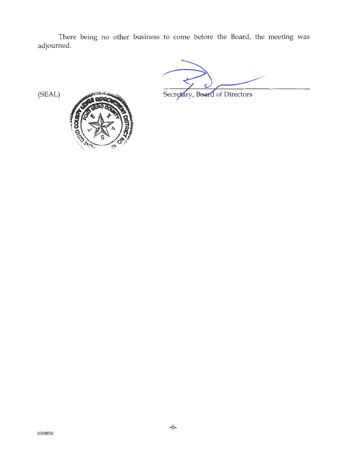There being no other business to come before the Board, the meeting was adjourned.

Secretary, Board of Directors

(SEAL)